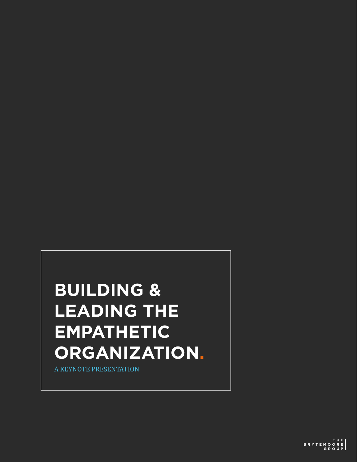## **BUILDING & LEADING THE EMPATHETIC ORGANIZATION.**

A KEYNOTE PRESENTATION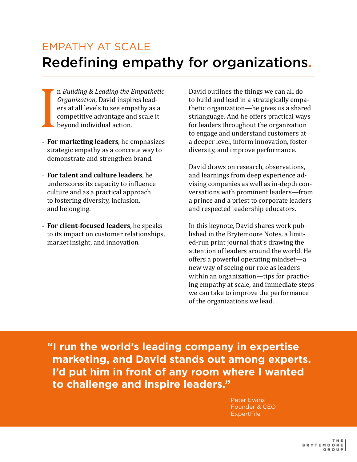#### EMPATHY AT SCALE Redefining empathy for organizations.

n *Building & Leading the Empathetic Organization*, David inspires leaders at all levels to see empathy as a competitive advantage and scale it beyond individual action.

- For<br>Property<br>International<br>Strate - **For marketing leaders**, he emphasizes strategic empathy as a concrete way to demonstrate and strengthen brand.
- **For talent and culture leaders**, he underscores its capacity to influence culture and as a practical approach to fostering diversity, inclusion, and belonging.
- **For client-focused leaders**, he speaks to its impact on customer relationships, market insight, and innovation.

David outlines the things we can all do to build and lead in a strategically empathetic organization—he gives us a shared strlanguage. And he offers practical ways for leaders throughout the organization to engage and understand customers at a deeper level, inform innovation, foster diversity, and improve performance.

David draws on research, observations, and learnings from deep experience advising companies as well as in-depth conversations with prominent leaders—from a prince and a priest to corporate leaders and respected leadership educators.

In this keynote, David shares work published in the Brytemoore Notes, a limited-run print journal that's drawing the attention of leaders around the world. He offers a powerful operating mindset—a new way of seeing our role as leaders within an organization—tips for practicing empathy at scale, and immediate steps we can take to improve the performance of the organizations we lead.

**"I run the world's leading company in expertise marketing, and David stands out among experts. I'd put him in front of any room where I wanted to challenge and inspire leaders."**

> Peter Evans Founder & CEO **ExpertFile**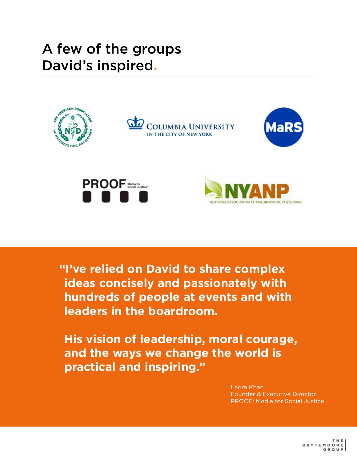#### A few of the groups David's inspired.



**"I've relied on David to share complex ideas concisely and passionately with hundreds of people at events and with leaders in the boardroom.**

**His vision of leadership, moral courage, and the ways we change the world is practical and inspiring."**

> Leora Khan Founder & Executive Director PROOF: Media for Social Justice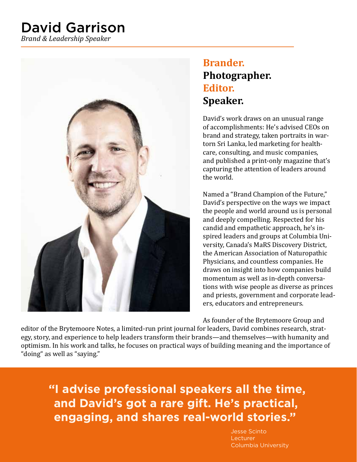### David Garrison

*Brand & Leadership Speaker*



#### **Brander. Photographer. Editor. Speaker.**

David's work draws on an unusual range of accomplishments: He's advised CEOs on brand and strategy, taken portraits in wartorn Sri Lanka, led marketing for healthcare, consulting, and music companies, and published a print-only magazine that's capturing the attention of leaders around the world.

Named a "Brand Champion of the Future," David's perspective on the ways we impact the people and world around us is personal and deeply compelling. Respected for his candid and empathetic approach, he's inspired leaders and groups at Columbia University, Canada's MaRS Discovery District, the American Association of Naturopathic Physicians, and countless companies. He draws on insight into how companies build momentum as well as in-depth conversations with wise people as diverse as princes and priests, government and corporate leaders, educators and entrepreneurs.

As founder of the Brytemoore Group and

editor of the Brytemoore Notes, a limited-run print journal for leaders, David combines research, strategy, story, and experience to help leaders transform their brands—and themselves—with humanity and optimism. In his work and talks, he focuses on practical ways of building meaning and the importance of "doing" as well as "saying."

**"I advise professional speakers all the time, and David's got a rare gift. He's practical, engaging, and shares real-world stories."**

> Jesse Scinto Lecturer Columbia University